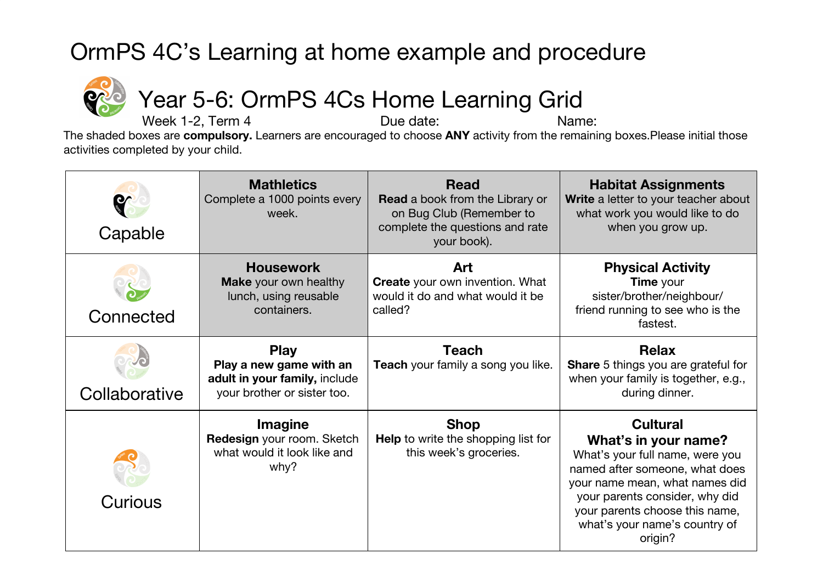## OrmPS 4C's Learning at home example and procedure



## Year 5-6: OrmPS 4Cs Home Learning Grid

Week 1-2, Term 4 Due date: Name: The shaded boxes are **compulsory.** Learners are encouraged to choose **ANY** activity from the remaining boxes.Please initial those activities completed by your child.

| Capable       | <b>Mathletics</b><br>Complete a 1000 points every<br>week.                                             | <b>Read</b><br><b>Read</b> a book from the Library or<br>on Bug Club (Remember to<br>complete the questions and rate<br>your book). | <b>Habitat Assignments</b><br>Write a letter to your teacher about<br>what work you would like to do<br>when you grow up.                                                                                                                                      |
|---------------|--------------------------------------------------------------------------------------------------------|-------------------------------------------------------------------------------------------------------------------------------------|----------------------------------------------------------------------------------------------------------------------------------------------------------------------------------------------------------------------------------------------------------------|
| Connected     | <b>Housework</b><br><b>Make</b> your own healthy<br>lunch, using reusable<br>containers.               | Art<br><b>Create</b> your own invention. What<br>would it do and what would it be<br>called?                                        | <b>Physical Activity</b><br><b>Time</b> your<br>sister/brother/neighbour/<br>friend running to see who is the<br>fastest.                                                                                                                                      |
| Collaborative | <b>Play</b><br>Play a new game with an<br>adult in your family, include<br>your brother or sister too. | <b>Teach</b><br><b>Teach</b> your family a song you like.                                                                           | <b>Relax</b><br><b>Share</b> 5 things you are grateful for<br>when your family is together, e.g.,<br>during dinner.                                                                                                                                            |
| Curious       | <b>Imagine</b><br>Redesign your room. Sketch<br>what would it look like and<br>why?                    | <b>Shop</b><br>Help to write the shopping list for<br>this week's groceries.                                                        | <b>Cultural</b><br>What's in your name?<br>What's your full name, were you<br>named after someone, what does<br>your name mean, what names did<br>your parents consider, why did<br>your parents choose this name,<br>what's your name's country of<br>origin? |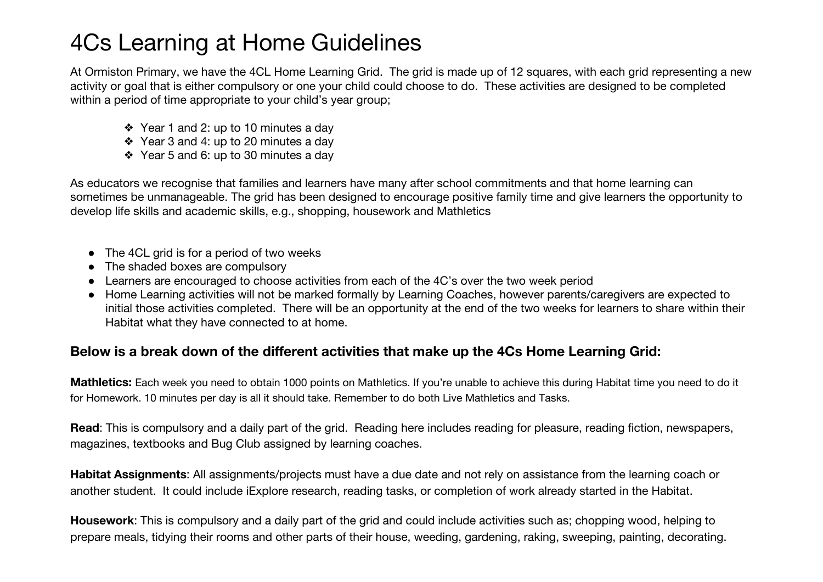## 4Cs Learning at Home Guidelines

At Ormiston Primary, we have the 4CL Home Learning Grid. The grid is made up of 12 squares, with each grid representing a new activity or goal that is either compulsory or one your child could choose to do. These activities are designed to be completed within a period of time appropriate to your child's year group;

- ❖ Year 1 and 2: up to 10 minutes a day
- ❖ Year 3 and 4: up to 20 minutes a day
- ❖ Year 5 and 6: up to 30 minutes a day

As educators we recognise that families and learners have many after school commitments and that home learning can sometimes be unmanageable. The grid has been designed to encourage positive family time and give learners the opportunity to develop life skills and academic skills, e.g., shopping, housework and Mathletics

- The 4CL grid is for a period of two weeks
- The shaded boxes are compulsory
- Learners are encouraged to choose activities from each of the 4C's over the two week period
- Home Learning activities will not be marked formally by Learning Coaches, however parents/caregivers are expected to initial those activities completed. There will be an opportunity at the end of the two weeks for learners to share within their Habitat what they have connected to at home.

## **Below is a break down of the different activities that make up the 4Cs Home Learning Grid:**

**Mathletics:** Each week you need to obtain 1000 points on Mathletics. If you're unable to achieve this during Habitat time you need to do it for Homework. 10 minutes per day is all it should take. Remember to do both Live Mathletics and Tasks.

**Read**: This is compulsory and a daily part of the grid. Reading here includes reading for pleasure, reading fiction, newspapers, magazines, textbooks and Bug Club assigned by learning coaches.

**Habitat Assignments**: All assignments/projects must have a due date and not rely on assistance from the learning coach or another student. It could include iExplore research, reading tasks, or completion of work already started in the Habitat.

**Housework**: This is compulsory and a daily part of the grid and could include activities such as; chopping wood, helping to prepare meals, tidying their rooms and other parts of their house, weeding, gardening, raking, sweeping, painting, decorating.